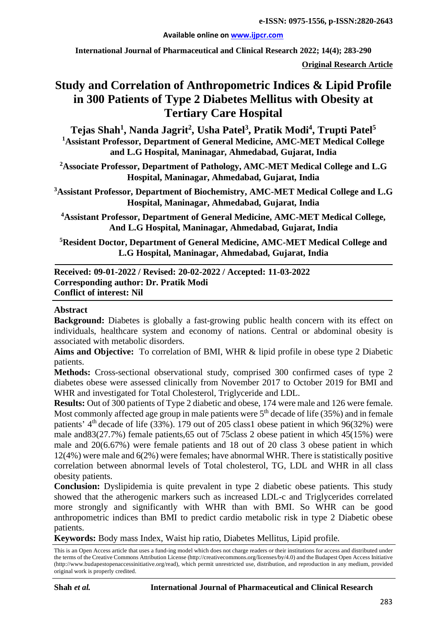#### **Available online on [www.ijpcr.com](http://www.ijpcr.com/)**

**International Journal of Pharmaceutical and Clinical Research 2022; 14(4); 283-290**

**Original Research Article**

# **Study and Correlation of Anthropometric Indices & Lipid Profile in 300 Patients of Type 2 Diabetes Mellitus with Obesity at Tertiary Care Hospital**

 $\text{Tejas Shah}^1\text{, Nanda Jagrit}^2\text{, Usha Patel}^3\text{, Pratik Modi}^4\text{, Trupti Patel}^5\text{,}$ **1 Assistant Professor, Department of General Medicine, AMC-MET Medical College and L.G Hospital, Maninagar, Ahmedabad, Gujarat, India**

**2 Associate Professor, Department of Pathology, AMC-MET Medical College and L.G Hospital, Maninagar, Ahmedabad, Gujarat, India**

**3 Assistant Professor, Department of Biochemistry, AMC-MET Medical College and L.G Hospital, Maninagar, Ahmedabad, Gujarat, India**

**4 Assistant Professor, Department of General Medicine, AMC-MET Medical College, And L.G Hospital, Maninagar, Ahmedabad, Gujarat, India**

**5 Resident Doctor, Department of General Medicine, AMC-MET Medical College and L.G Hospital, Maninagar, Ahmedabad, Gujarat, India**

#### **Received: 09-01-2022 / Revised: 20-02-2022 / Accepted: 11-03-2022 Corresponding author: Dr. Pratik Modi Conflict of interest: Nil**

#### **Abstract**

**Background:** Diabetes is globally a fast-growing public health concern with its effect on individuals, healthcare system and economy of nations. Central or abdominal obesity is associated with metabolic disorders.

**Aims and Objective:** To correlation of BMI, WHR & lipid profile in obese type 2 Diabetic patients.

**Methods:** Cross-sectional observational study, comprised 300 confirmed cases of type 2 diabetes obese were assessed clinically from November 2017 to October 2019 for BMI and WHR and investigated for Total Cholesterol, Triglyceride and LDL.

**Results:** Out of 300 patients of Type 2 diabetic and obese, 174 were male and 126 were female. Most commonly affected age group in male patients were  $5<sup>th</sup>$  decade of life (35%) and in female patients'  $4<sup>th</sup>$  decade of life (33%). 179 out of 205 class1 obese patient in which 96(32%) were male and83(27.7%) female patients,65 out of 75class 2 obese patient in which 45(15%) were male and 20(6.67%) were female patients and 18 out of 20 class 3 obese patient in which 12(4%) were male and 6(2%) were females; have abnormal WHR. There is statistically positive correlation between abnormal levels of Total cholesterol, TG, LDL and WHR in all class obesity patients.

**Conclusion:** Dyslipidemia is quite prevalent in type 2 diabetic obese patients. This study showed that the atherogenic markers such as increased LDL-c and Triglycerides correlated more strongly and significantly with WHR than with BMI. So WHR can be good anthropometric indices than BMI to predict cardio metabolic risk in type 2 Diabetic obese patients.

**Keywords:** Body mass Index, Waist hip ratio, Diabetes Mellitus, Lipid profile.

This is an Open Access article that uses a fund-ing model which does not charge readers or their institutions for access and distributed under the terms of the Creative Commons Attribution License (http://creativecommons.org/licenses/by/4.0) and the Budapest Open Access Initiative (http://www.budapestopenaccessinitiative.org/read), which permit unrestricted use, distribution, and reproduction in any medium, provided original work is properly credited.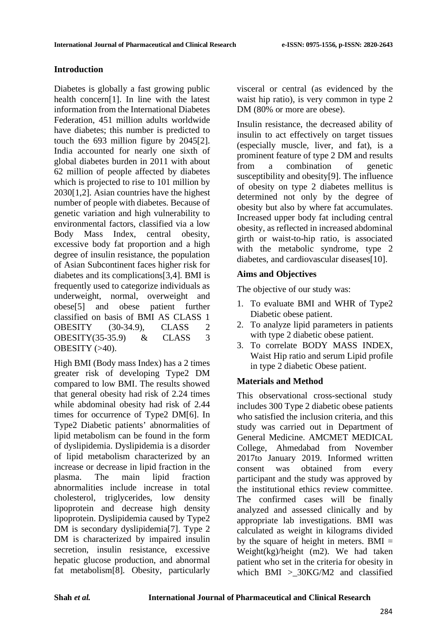# **Introduction**

Diabetes is globally a fast growing public health concern[1]. In line with the latest information from the International Diabetes Federation, 451 million adults worldwide have diabetes; this number is predicted to touch the 693 million figure by 2045[2]. India accounted for nearly one sixth of global diabetes burden in 2011 with about 62 million of people affected by diabetes which is projected to rise to 101 million by 2030[1,2]. Asian countries have the highest number of people with diabetes. Because of genetic variation and high vulnerability to environmental factors, classified via a low Body Mass Index, central obesity, excessive body fat proportion and a high degree of insulin resistance, the population of Asian Subcontinent faces higher risk for diabetes and its complications[3,4]. BMI is frequently used to categorize individuals as underweight, normal, overweight and obese[5] and obese patient further classified on basis of BMI AS CLASS 1 OBESITY (30-34.9), CLASS 2 OBESITY(35-35.9) & CLASS 3 OBESITY  $(>40)$ .

High BMI (Body mass Index) has a 2 times greater risk of developing Type2 DM compared to low BMI. The results showed that general obesity had risk of 2.24 times while abdominal obesity had risk of 2.44 times for occurrence of Type2 DM[6]. In Type2 Diabetic patients' abnormalities of lipid metabolism can be found in the form of dyslipidemia. Dyslipidemia is a disorder of lipid metabolism characterized by an increase or decrease in lipid fraction in the plasma. The main lipid fraction abnormalities include increase in total cholesterol, triglycerides, low density lipoprotein and decrease high density lipoprotein. Dyslipidemia caused by Type2 DM is secondary dyslipidemia[7]. Type 2 DM is characterized by impaired insulin secretion, insulin resistance, excessive hepatic glucose production, and abnormal fat metabolism[8]. Obesity, particularly

visceral or central (as evidenced by the waist hip ratio), is very common in type 2 DM (80% or more are obese).

Insulin resistance, the decreased ability of insulin to act effectively on target tissues (especially muscle, liver, and fat), is a prominent feature of type 2 DM and results from a combination of genetic susceptibility and obesity[9]. The influence of obesity on type 2 diabetes mellitus is determined not only by the degree of obesity but also by where fat accumulates. Increased upper body fat including central obesity, as reflected in increased abdominal girth or waist-to-hip ratio, is associated with the metabolic syndrome, type 2 diabetes, and cardiovascular diseases[10].

# **Aims and Objectives**

The objective of our study was:

- 1. To evaluate BMI and WHR of Type2 Diabetic obese patient.
- 2. To analyze lipid parameters in patients with type 2 diabetic obese patient.
- 3. To correlate BODY MASS INDEX, Waist Hip ratio and serum Lipid profile in type 2 diabetic Obese patient.

# **Materials and Method**

This observational cross-sectional study includes 300 Type 2 diabetic obese patients who satisfied the inclusion criteria, and this study was carried out in Department of General Medicine. AMCMET MEDICAL College, Ahmedabad from November 2017to January 2019. Informed written consent was obtained from every participant and the study was approved by the institutional ethics review committee. The confirmed cases will be finally analyzed and assessed clinically and by appropriate lab investigations. BMI was calculated as weight in kilograms divided by the square of height in meters.  $BMI =$ Weight(kg)/height (m2). We had taken patient who set in the criteria for obesity in which BMI >\_30KG/M2 and classified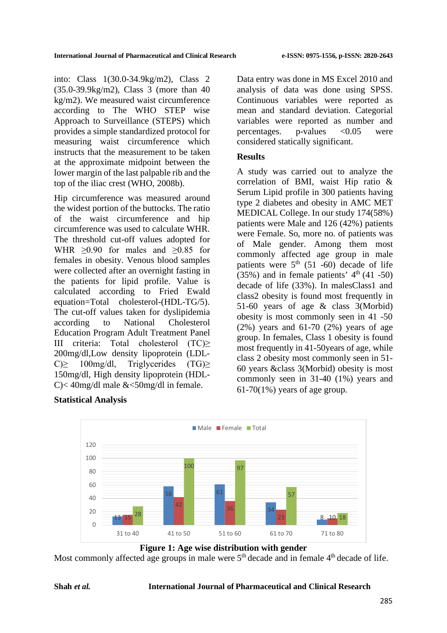into: Class 1(30.0-34.9kg/m2), Class 2 (35.0-39.9kg/m2), Class 3 (more than 40 kg/m2). We measured waist circumference according to The WHO STEP wise Approach to Surveillance (STEPS) which provides a simple standardized protocol for measuring waist circumference which instructs that the measurement to be taken at the approximate midpoint between the lower margin of the last palpable rib and the top of the iliac crest (WHO, 2008b).

Hip circumference was measured around the widest portion of the buttocks. The ratio of the waist circumference and hip circumference was used to calculate WHR. The threshold cut-off values adopted for WHR  $\geq 0.90$  for males and  $\geq 0.85$  for females in obesity. Venous blood samples were collected after an overnight fasting in the patients for lipid profile. Value is calculated according to Fried Ewald equation=Total cholesterol-(HDL-TG/5). The cut-off values taken for dyslipidemia according to National Cholesterol Education Program Adult Treatment Panel III criteria: Total cholesterol (TC)≥ 200mg/dl,Low density lipoprotein (LDL-C)≥ 100mg/dl, Triglycerides (TG)≥ 150mg/dl, High density lipoprotein (HDL-C $\geq$  40mg/dl male &  $\leq$ 50mg/dl in female.

# **Statistical Analysis**

Data entry was done in MS Excel 2010 and analysis of data was done using SPSS. Continuous variables were reported as mean and standard deviation. Categorial variables were reported as number and percentages.  $p$ -values  $\langle 0.05$  were considered statically significant.

#### **Results**

A study was carried out to analyze the correlation of BMI, waist Hip ratio & Serum Lipid profile in 300 patients having type 2 diabetes and obesity in AMC MET MEDICAL College. In our study 174(58%) patients were Male and 126 (42%) patients were Female. So, more no. of patients was of Male gender. Among them most commonly affected age group in male patients were  $5<sup>th</sup>$  (51 -60) decade of life  $(35\%)$  and in female patients'  $4<sup>th</sup>(41 - 50)$ decade of life (33%). In malesClass1 and class2 obesity is found most frequently in 51-60 years of age & class 3(Morbid) obesity is most commonly seen in 41 -50  $(2\%)$  years and 61-70  $(2\%)$  years of age group. In females, Class 1 obesity is found most frequently in 41-50years of age, while class 2 obesity most commonly seen in 51- 60 years &class 3(Morbid) obesity is most commonly seen in 31-40 (1%) years and  $61-70(1\%)$  years of age group.



**Figure 1: Age wise distribution with gender**

Most commonly affected age groups in male were 5<sup>th</sup> decade and in female 4<sup>th</sup> decade of life.

#### **Shah** *et al.* **International Journal of Pharmaceutical and Clinical Research**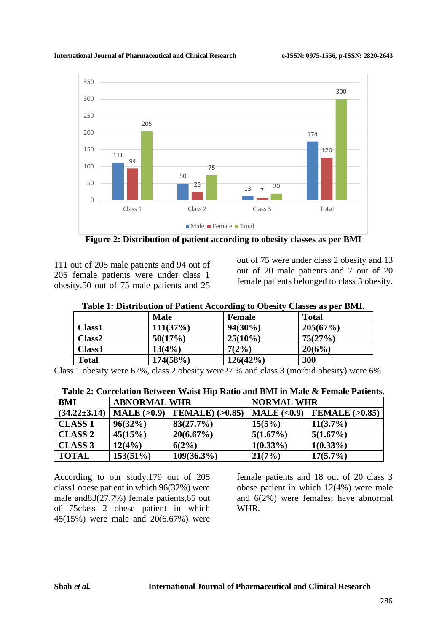#### **International Journal of Pharmaceutical and Clinical Research e-ISSN: 0975-1556, p-ISSN: 2820-2643**





**Figure 2: Distribution of patient according to obesity classes as per BMI**

111 out of 205 male patients and 94 out of 205 female patients were under class 1 obesity.50 out of 75 male patients and 25

out of 75 were under class 2 obesity and 13 out of 20 male patients and 7 out of 20 female patients belonged to class 3 obesity.

| Table 1: Distribution of Patient According to Obesity Classes as per BMI. |             |               |              |  |  |  |
|---------------------------------------------------------------------------|-------------|---------------|--------------|--|--|--|
|                                                                           | <b>Male</b> | <b>Female</b> | <b>Total</b> |  |  |  |
| Class1                                                                    | 111(37%)    | $94(30\%)$    | 205(67%)     |  |  |  |
| Class <sub>2</sub>                                                        | 50(17%)     | $25(10\%)$    | 75(27%)      |  |  |  |
| Class <sub>3</sub>                                                        | 13(4%)      | 7(2%)         | 20(6%)       |  |  |  |
| <b>Total</b>                                                              | 174(58%)    | 126(42%)      | 300          |  |  |  |

Class 1 obesity were  $67\%$ , class 2 obesity were 27 % and class 3 (morbid obesity) were  $6\%$ 

| BMI                | <b>ABNORMAL WHR</b> |                        | <b>NORMAL WHR</b> |                  |  |
|--------------------|---------------------|------------------------|-------------------|------------------|--|
| $(34.22 \pm 3.14)$ | $MALE$ ( $>0.9$ )   | FEMALE $)$ ( $>0.85$ ) | MALE $(0.9)$      | FEMALE $(>0.85)$ |  |
| <b>CLASS 1</b>     | $96(32\%)$          | 83(27.7%)              | 15(5%)            | $11(3.7\%)$      |  |
| <b>CLASS 2</b>     | 45(15%)             | 20(6.67%)              | $5(1.67\%)$       | 5(1.67%)         |  |
| <b>CLASS 3</b>     | 12(4%)              | 6(2%)                  | $1(0.33\%)$       | $1(0.33\%)$      |  |
| <b>TOTAL</b>       | $153(51\%)$         | $109(36.3\%)$          | 21(7%)            | $17(5.7\%)$      |  |

|--|

According to our study,179 out of 205 class1 obese patient in which 96(32%) were male and83(27.7%) female patients,65 out of 75class 2 obese patient in which 45(15%) were male and 20(6.67%) were

female patients and 18 out of 20 class 3 obese patient in which 12(4%) were male and 6(2%) were females; have abnormal WHR.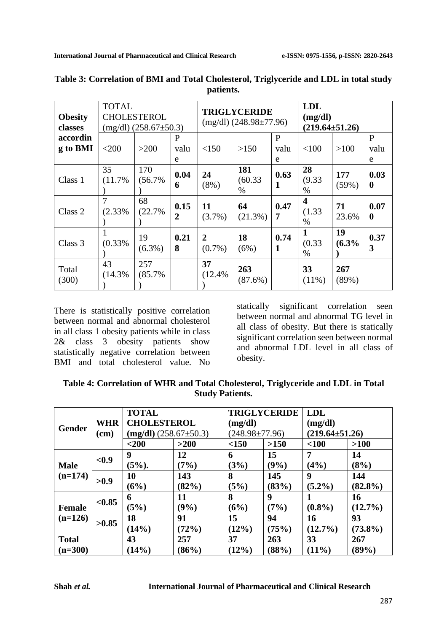| <b>TOTAL</b><br><b>CHOLESTEROL</b><br><b>Obesity</b><br>$(mg/dl)$ (258.67 $\pm$ 50.3)<br>classes |              |                 |                     | <b>TRIGLYCERIDE</b><br>$(mg/dl)$ (248.98 $\pm$ 77.96) |                        | <b>LDL</b><br>(mg/dl)<br>$(219.64 \pm 51.26)$ |                                        |              |                          |
|--------------------------------------------------------------------------------------------------|--------------|-----------------|---------------------|-------------------------------------------------------|------------------------|-----------------------------------------------|----------------------------------------|--------------|--------------------------|
| accordin<br>g to BMI                                                                             | $<$ 200      | >200            | P<br>valu           | <150                                                  | >150                   | P<br>valu                                     | < 100                                  | >100         | P<br>valu                |
|                                                                                                  |              |                 | e                   |                                                       |                        | e                                             |                                        |              | e                        |
| Class 1                                                                                          | 35<br>(11.7% | 170<br>(56.7%   | 0.04<br>6           | 24<br>$(8\%)$                                         | 181<br>(60.33)<br>$\%$ | 0.63<br>л                                     | 28<br>(9.33)<br>%                      | 177<br>(59%) | 0.03<br>$\bf{0}$         |
| Class 2                                                                                          | 7<br>(2.33%  | 68<br>(22.7%    | 0.15<br>$\mathbf 2$ | 11<br>$(3.7\%)$                                       | 64<br>(21.3%)          | 0.47<br>7                                     | $\overline{\mathbf{4}}$<br>(1.33)<br>% | 71<br>23.6%  | 0.07<br>$\boldsymbol{0}$ |
| Class 3                                                                                          | (0.33%       | 19<br>$(6.3\%)$ | 0.21<br>8           | 2<br>$(0.7\%)$                                        | 18<br>(6%)             | 0.74                                          | $\mathbf{1}$<br>(0.33)<br>$\%$         | 19<br>(6.3%  | 0.37<br>3                |
| Total<br>(300)                                                                                   | 43<br>(14.3% | 257<br>(85.7%   |                     | 37<br>(12.4%                                          | 263<br>(87.6%)         |                                               | 33<br>$(11\%)$                         | 267<br>(89%) |                          |

# **Table 3: Correlation of BMI and Total Cholesterol, Triglyceride and LDL in total study patients.**

There is statistically positive correlation between normal and abnormal cholesterol in all class 1 obesity patients while in class 2& class 3 obesity patients show statistically negative correlation between BMI and total cholesterol value. No statically significant correlation seen between normal and abnormal TG level in all class of obesity. But there is statically significant correlation seen between normal and abnormal LDL level in all class of obesity.

| Table 4: Correlation of WHR and Total Cholesterol, Triglyceride and LDL in Total |
|----------------------------------------------------------------------------------|
| <b>Study Patients.</b>                                                           |

|                            | <b>WHR</b><br>(cm) | <b>TOTAL</b>                  |         | <b>TRIGLYCERIDE</b>  |       | <b>LDL</b>           |            |  |
|----------------------------|--------------------|-------------------------------|---------|----------------------|-------|----------------------|------------|--|
| <b>Gender</b>              |                    | <b>CHOLESTEROL</b>            |         | (mg/dl)              |       | (mg/dl)              |            |  |
|                            |                    | $(mg/dl)$ (258.67 $\pm$ 50.3) |         | $(248.98 \pm 77.96)$ |       | $(219.64 \pm 51.26)$ |            |  |
|                            |                    | $200$                         | >200    | <150                 | >150  | $<$ 100              | $>100$     |  |
| <b>Male</b><br>$(n=174)$   | $0.9$              | 9                             | 12      | 6                    | 15    | 7                    | 14         |  |
|                            |                    | $(5\%)$ .                     | (7%)    | (3%)                 | (9%)  | (4%)                 | (8%)       |  |
|                            | >0.9               | <b>10</b>                     | 143     | 8                    | 145   | 9                    | 144        |  |
|                            |                    | (6%)                          | (82%)   | (5%)                 | (83%) | $(5.2\%)$            | $(82.8\%)$ |  |
|                            | < 0.85             | 6                             | 11      | 8                    | 9     |                      | <b>16</b>  |  |
| <b>Female</b><br>$(n=126)$ |                    | (5%)                          | $(9\%)$ | (6%)                 | (7%)  | $(0.8\%)$            | $(12.7\%)$ |  |
|                            | >0.85              | 18                            | 91      | 15                   | 94    | 16                   | 93         |  |
|                            |                    | (14%)                         | (72%)   | (12%)                | (75%) | $(12.7\%)$           | $(73.8\%)$ |  |
| <b>Total</b>               |                    | 43                            | 257     | 37                   | 263   | 33                   | 267        |  |
| $(n=300)$                  |                    | (14%)                         | (86%)   | (12%)                | (88%) | (11%)                | (89%)      |  |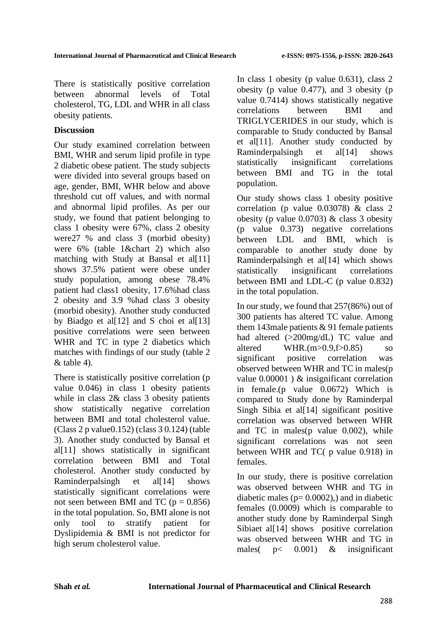There is statistically positive correlation between abnormal levels of Total cholesterol, TG, LDL and WHR in all class obesity patients.

#### **Discussion**

Our study examined correlation between BMI, WHR and serum lipid profile in type 2 diabetic obese patient. The study subjects were divided into several groups based on age, gender, BMI, WHR below and above threshold cut off values, and with normal and abnormal lipid profiles. As per our study, we found that patient belonging to class 1 obesity were 67%, class 2 obesity were27 % and class 3 (morbid obesity) were 6% (table 1&chart 2) which also matching with Study at Bansal et al[11] shows 37.5% patient were obese under study population, among obese 78.4% patient had class1 obesity, 17.6%had class 2 obesity and 3.9 %had class 3 obesity (morbid obesity). Another study conducted by Biadgo et al[12] and S choi et al[13] positive correlations were seen between WHR and TC in type 2 diabetics which matches with findings of our study (table 2  $&$  table 4).

There is statistically positive correlation (p value 0.046) in class 1 obesity patients while in class  $2&$  class 3 obesity patients show statistically negative correlation between BMI and total cholesterol value. (Class 2 p value0.152) (class 3 0.124) (table 3). Another study conducted by Bansal et al<sup>[11]</sup> shows statistically in significant correlation between BMI and Total cholesterol. Another study conducted by Raminderpalsingh et al[14] shows statistically significant correlations were not seen between BMI and TC ( $p = 0.856$ ) in the total population. So, BMI alone is not only tool to stratify patient for Dyslipidemia & BMI is not predictor for high serum cholesterol value.

In class 1 obesity (p value 0.631), class 2 obesity (p value 0.477), and 3 obesity (p value 0.7414) shows statistically negative correlations between BMI and TRIGLYCERIDES in our study, which is comparable to Study conducted by Bansal et al<sup>[11]</sup>. Another study conducted by Raminderpalsingh et al[14] shows statistically insignificant correlations between BMI and TG in the total population.

Our study shows class 1 obesity positive correlation (p value 0.03078) & class 2 obesity (p value  $0.0703$ ) & class 3 obesity (p value 0.373) negative correlations between LDL and BMI, which is comparable to another study done by Raminderpalsingh et al[14] which shows statistically insignificant correlations between BMI and LDL-C (p value 0.832) in the total population.

In our study, we found that 257(86%) out of 300 patients has altered TC value. Among them 143male patients & 91 female patients had altered (>200mg/dL) TC value and altered WHR.(m>0.9,f>0.85) so significant positive correlation was observed between WHR and TC in males(p value 0.00001 ) & insignificant correlation in female.(p value 0.0672) Which is compared to Study done by Raminderpal Singh Sibia et al<sup>[14]</sup> significant positive correlation was observed between WHR and TC in males(p value 0.002), while significant correlations was not seen between WHR and TC( p value 0.918) in females.

In our study, there is positive correlation was observed between WHR and TG in diabetic males ( $p= 0.0002$ ), and in diabetic females (0.0009) which is comparable to another study done by Raminderpal Singh Sibiaet al<sup>[14]</sup> shows positive correlation was observed between WHR and TG in males( p< 0.001) & insignificant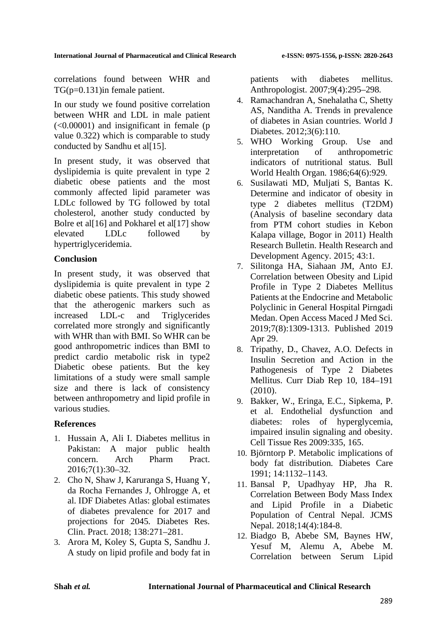correlations found between WHR and TG(p=0.131)in female patient.

In our study we found positive correlation between WHR and LDL in male patient  $(<0.00001$ ) and insignificant in female (p) value 0.322) which is comparable to study conducted by Sandhu et al[15].

In present study, it was observed that dyslipidemia is quite prevalent in type 2 diabetic obese patients and the most commonly affected lipid parameter was LDLc followed by TG followed by total cholesterol, another study conducted by Bolre et al<sup>[16]</sup> and Pokharel et al<sup>[17]</sup> show elevated LDLc followed by hypertriglyceridemia.

#### **Conclusion**

In present study, it was observed that dyslipidemia is quite prevalent in type 2 diabetic obese patients. This study showed that the atherogenic markers such as increased LDL-c and Triglycerides correlated more strongly and significantly with WHR than with BMI. So WHR can be good anthropometric indices than BMI to predict cardio metabolic risk in type2 Diabetic obese patients. But the key limitations of a study were small sample size and there is lack of consistency between anthropometry and lipid profile in various studies.

# **References**

- 1. Hussain A, Ali I. Diabetes mellitus in Pakistan: A major public health concern. Arch Pharm Pract. 2016;7(1):30–32.
- 2. Cho N, Shaw J, Karuranga S, Huang Y, da Rocha Fernandes J, Ohlrogge A, et al. IDF Diabetes Atlas: global estimates of diabetes prevalence for 2017 and projections for 2045. Diabetes Res. Clin. Pract. 2018; 138:271–281.
- 3. Arora M, Koley S, Gupta S, Sandhu J. A study on lipid profile and body fat in

patients with diabetes mellitus. Anthropologist. 2007;9(4):295–298.

- 4. Ramachandran A, Snehalatha C, Shetty AS, Nanditha A. Trends in prevalence of diabetes in Asian countries. World J Diabetes. 2012;3(6):110.
- 5. WHO Working Group. Use and interpretation of anthropometric indicators of nutritional status. Bull World Health Organ. 1986;64(6):929.
- 6. Susilawati MD, Muljati S, Bantas K. Determine and indicator of obesity in type 2 diabetes mellitus (T2DM) (Analysis of baseline secondary data from PTM cohort studies in Kebon Kalapa village, Bogor in 2011) Health Research Bulletin. Health Research and Development Agency. 2015; 43:1.
- 7. Silitonga HA, Siahaan JM, Anto EJ. Correlation between Obesity and Lipid Profile in Type 2 Diabetes Mellitus Patients at the Endocrine and Metabolic Polyclinic in General Hospital Pirngadi Medan. Open Access Maced J Med Sci. 2019;7(8):1309-1313. Published 2019 Apr 29.
- 8. Tripathy, D., Chavez, A.O. Defects in Insulin Secretion and Action in the Pathogenesis of Type 2 Diabetes Mellitus. Curr Diab Rep 10, 184–191 (2010).
- 9. Bakker, W., Eringa, E.C., Sipkema, P. et al. Endothelial dysfunction and diabetes: roles of hyperglycemia, impaired insulin signaling and obesity. Cell Tissue Res 2009:335, 165.
- 10. Björntorp P. Metabolic implications of body fat distribution. Diabetes Care 1991; 14:1132–1143.
- 11. Bansal P, Upadhyay HP, Jha R. Correlation Between Body Mass Index and Lipid Profile in a Diabetic Population of Central Nepal. JCMS Nepal. 2018;14(4):184-8.
- 12. Biadgo B, Abebe SM, Baynes HW, Yesuf M, Alemu A, Abebe M. Correlation between Serum Lipid